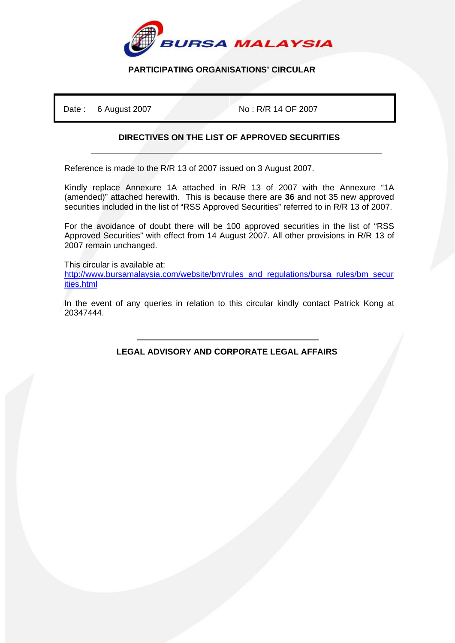

## **PARTICIPATING ORGANISATIONS' CIRCULAR**

Date: 6 August 2007 No: R/R 14 OF 2007

## **DIRECTIVES ON THE LIST OF APPROVED SECURITIES**

Reference is made to the R/R 13 of 2007 issued on 3 August 2007.

Kindly replace Annexure 1A attached in R/R 13 of 2007 with the Annexure "1A (amended)" attached herewith. This is because there are **36** and not 35 new approved securities included in the list of "RSS Approved Securities" referred to in R/R 13 of 2007.

For the avoidance of doubt there will be 100 approved securities in the list of "RSS Approved Securities" with effect from 14 August 2007. All other provisions in R/R 13 of 2007 remain unchanged.

This circular is available at: [http://www.bursamalaysia.com/website/bm/rules\\_and\\_regulations/bursa\\_rules/bm\\_secur](http://www.bursamalaysia.com/website/bm/rules_and_regulations/bursa_rules/bm_securities.html) [ities.html](http://www.bursamalaysia.com/website/bm/rules_and_regulations/bursa_rules/bm_securities.html)

In the event of any queries in relation to this circular kindly contact Patrick Kong at 20347444.

> ֺ **LEGAL ADVISORY AND CORPORATE LEGAL AFFAIRS**